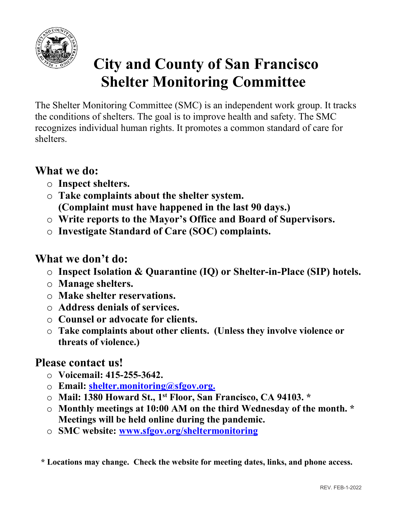

# **City and County of San Francisco<br>Shelter Monitoring Committee**<br>politoring Committee (SMC) is an independent work group. It tracks City and County of San Francisco<br>
Shelter Monitoring Committee<br>
itoring Committee (SMC) is an independent work group. It tracks<br>
shelters. The goal is to improve health and safety. The SMC<br>
dual buman rights. It promotes a

**City and County of San Francisco**<br>**Shelter Monitoring Committee**<br>The Shelter Monitoring Committee<br>the conditions of shelters. The goal is to improve health and safety. The SMC<br>recognizes individual human rights. It promot **City and County of San Francisco**<br>**Shelter Monitoring Committee**<br>The Shelter Monitoring Committee (SMC) is an independent work group. It tracks<br>the conditions of shelters. The goal is to improve health and safety. The SMC **City and County of San Francisco**<br>**Shelter Monitoring Committee**<br>The Shelter Monitoring Committee<br>the conditions of shelters. The goal is to improve health and safety. The SMC<br>recognizes individual human rights. It promot shelters. City and County of San France<br>
Shelter Monitoring Committe<br>
The Shelter Monitoring Committe<br>
The Shelter Monitoring Committee (SMC) is an independent work<br>
the conditions of shelters. The goal is to improve health and safe **City and County of San Francis**<br> **City and County of San Francis**<br> **Shelter Monitoring Committee**<br> **e** Shelter Monitoring Committee<br> **e** Shelter Monitoring Committee<br>
conditions of shelters. The goal is to improve health **City and County of San Francisco**<br> **Shelter Monitoring Committee**<br>
Shelter Monitoring Committee<br>
e Shelter Monitoring Committee<br>
conditions of shelters. The goal is to improve health and safety. The SMC<br>
ognizes individua (City and County of San Francisco<br>
Shelter Monitoring Committee<br>
helter Monitoring Committee<br>
helter Monitoring Committee<br>
helter Monitoring Committee<br>
and the last 90 days. The SMC<br>
s.<br>
t we do:<br>
Inspect shelters.<br>
t we d **City and County of San Francisco**<br> **Shelter Monitoring Committee**<br>
e Shelter Monitoring Committee<br>
e Shelter Monitoring Committee<br>
conditions of shelters. The goal is to improve health and safety. The SMC<br>
ognizes individ **CHY AND COUNTY OF SAIF FRIELISCO**<br>
Shelter Monitoring Committee<br>
e Shelter Monitoring Committee<br>
conditions of shelters. The goal is to improve health and safety. The SMC<br>
ognizes individual human rights. It promotes a co The Shelter Monitoring Committee (SMC) is an independent work group.<br>the conditions of shelters. The goal is to improve health and safety. The SN<br>recognizes individual human rights. It promotes a common standard of car<br>sh Example of Shelter Monttoring Committee (SMC) is an independent work group. It tracks<br>conditions of shelters. The goal is to improve health and safety. The SMC<br>conditions of shelters. The goal is to improve health and saf conduons of shelters. Ine goal is to mprove neatth and safety. In<br>ognizes individual human rights. It promotes a common standard of<br>deters.<br>
<br> **hat we do:**<br>
<br> **Complaint must have happened in the last 90 days.)**<br>
<br> **Compl** 

- 
- ognizes marviduar numan rignis. it promotes a common standard or care<br>
ters.<br>
o Take complaints about the shelter system.<br>
o Complaint must have happened in the last 90 days.)<br>
o Write reports to the Mayor's Office and Bo
- 
- 

- 
- 
- 
- 
- 
- hat we do:<br>
o Inspect shelters.<br>
o Take complaints about the shelter system.<br>
(Complaint must have happened in the last 90 days.)<br>
o Write reports to the Mayor's Office and Board of Supervisors.<br>
o Investigate Standard of o Inspect shelters.<br>
○ Inspect shelters.<br>
○ Take complaint must have happened in the last 90 days.)<br>
○ (Complaint must have happened in the last 90 days.)<br>
○ Write reports to the Mayor's Office and Board of Supervisors.<br> hat we do:<br>
○ Inspect shelters.<br>
○ Take complaints about the shelter system.<br>
○ Complaint must have happened in the last 90 days.)<br>
○ Write reports to the Mayor's Office and Board of Supervisors.<br>
○ Investigate Standard o Inspect shelters.<br>
Take complaints about the shelter system.<br>
(Complaint must have happened in the last 90 days.)<br>
Write reports to the Mayor's Office and Board of Supervi<br>
Investigate Standard of Care (SOC) complaints.<br>
t O Take complaints about the shelter system.<br>
(Complaint must have happened in the last 90 days.)<br>  $\circ$  Write reports to the Mayor's Office and Board of Supervise<br>  $\circ$  Investigate Standard of Care (SOC) complaints.<br>
What (Complaint must have nappened in the last 50 days.)<br>  $\circ$  Write reports to the Mayor's Office and Board of Supervis<br>  $\circ$  Investigate Standard of Care (SOC) complaints.<br>
hat we don't do:<br>  $\circ$  Inspect Isolation & Quaranti

- 
- 
- ⊙ Email: <u>shelter.monitoring@sfgov.org.</u><br>○ Mail: 1380 Howard St., 1<sup>st</sup> Floor, San Francisco, CA 94103. \*
- nce or<br>
month. \*<br>
ne access.<br>
REV. FEB-1-2022 o Investigate Standard of Care (SOC) complaints.<br>
hat we don't do:<br>
o Inspect Isolation & Quarantine (IQ) or Shelter-in-Place (SIP) hotels.<br>
o Manage shelters.<br>
o Make shelter reservations.<br>
o Address denials of services. hat we don't do:<br>
○ Inspect Isolation & Quarantine (IQ) or Shelter-in-Place (SIP) hotels.<br>
○ Manage shelters.<br>
○ Make shelter reservations.<br>
○ Make shelter reservations.<br>
○ Counsel or advocate for clients.<br>
○ Counsel or a t we don't do:<br>
Inspect Isolation & Quarantine (IQ) or Shelter-in-Place (SIP) hotels.<br>
Manage shelters.<br>
Make shelter reservations.<br>
Address denials of services.<br>
Counsel or advocate for clients.<br>
Counsel or advocate for c o Inspect Isolation & Quarantine (IQ) or Shelter-in-Place (SIP) hotels<br>
○ Manage shelter reservations.<br>
○ Make shelter reservations.<br>
○ Make shelter reservations.<br>
○ Counsel or advocate for clients.<br>
○ Counsel or advocate ○ Make shelter reservations.<br>
○ Address denials of services.<br>
○ Counsel or advocate for clients.<br>
○ Take complaints about other clients. (Unless they involve violence or threats of violence.)<br>
lease contact us!<br>
○ Voicem
	-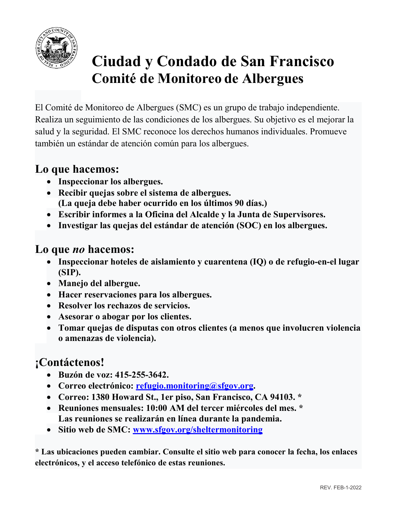

# Ciudad y Condado de San Francisco<br>Comité de Monitoreo de Albergues<br>Sovietes de Albergue (SMC) sur cripe de trabés independiente Ciudad y Condado de San Francisco<br>Comité de Monitoreo de Albergues<br><sup>(onitoreo de Albergues (SMC) es un grupo de trabajo independiente.<br>imiento de las condiciones de los albergues. Su objetivo es el mejorar la</sup>

Ciudad y Condado de San Francisco<br>
Comité de Monitoreo de Albergues<br>
El Comité de Monitoreo de Albergues (SMC) es un grupo de trabajo independiente.<br>
Realiza un seguimiento de las condiciones de los albergues. Su objetivo Ciudad y Condado de San Francisco<br>Comité de Monitoreo de Albergues.<br>El Comité de Monitoreo de Albergues (SMC) es un grupo de trabajo independiente.<br>Realiza un seguimiento de las condiciones de los albergues. Su objetivo es **Salud y Condado de San Francisco<br>
Ciudad y Condado de San Francisco<br>
El Comité de Monitoreo de Albergues<br>
El Comité de Monitoreo de Albergues. El Salud y la seguridad. El SMC reconoce los derechos humanos individuales. Pr** Ciudad y Condado de San Francisco<br>
Comité de Monitoreo de Albergues<br>
El Comité de Monitoreo de Albergues<br>
El Comité de Monitoreo de Albergues (SMC) es un grupo de trabajo independiente.<br>
Realiza un seguimiento de las condi Ciudad y Condado de San Fr<br>
Comité de Monitoreo de Alberg<br>
El Comité de Monitoreo de Alberg<br>
El Comité de Monitoreo de Albergues (SMC) es un grupo de trabajo<br>
Realiza un seguimiento de las condiciones de los albergues. Su Ciudad y Condado de San Francisco<br>
Comité de Monitoreo de Albergues<br>
Comité de Monitoreo de Albergues<br>
Comité de Monitoreo de Albergues<br>
Comité de Monitoreo de Albergues<br>
La un seguridad. El SMC reconoce los derechos human **Ciudad y Condado de San Francisco<br>
Comité de Monitoreo de Albergues<br>
Comité de Monitoreo de Albergues<br>
Comité de Monitoreo de Albergues<br>
Laiza un seguimiento de las condiciones de los albergues. Su objetivo es el mejorar** (Ciudad y Condado de San Francisco<br>
Comité de Monitoreo de Albergues<br>
mité de Monitoreo de Albergues<br>
aun seguimiento de las condiciones de los albergues. Su objetivo es el mejorar la<br>
la seguridad. El SMC reconoce los der **Example 18 Condition Condition**<br> **Example 3**<br>
Comité de Monitoreo de Albergues<br>
Comité de Monitoreo de Albergues<br>
Comité de Monitoreo de Albergues<br>
La iza un segurinant de las condiciones de los albergues. Su objetivo es **Citudiar y Condardo de San Francisco**<br>
Comité de Monitoreo de Albergues<br>
Comité de Monitoreo de Albergues (SMC) es un grupo de trabajo independiente.<br>
aliza un seguimiento de las condiciones de los albergues. Su objetivo El Comité de Monitoreo de Albergues (SMC) es un grupo de trabaliza un seguimiento de las condiciones de los albergues. Su<br>salud y la seguridad. El SMC reconoce los derechos humanos i<br>también un estándar de atención común Comité de Monitoreo de Albergues (SMC) es un grupo de trabajo independiente.<br>
aliza un seguimiento de las condiciones de los albergues. Su objetivo es el mejorar la<br>
de y la seguridad. El SMC reconoce los derechos humanos aliza un seguimiento de las condiciones de los albergues. Su objetivo es el<br>
ale y la seguridad. El SMC reconoce los derechos humanos individuales. Pr<br>
bién un estándar de atención común para los albergues.<br>
• Inspeccionar d y la seguridad. El SMC reconoce los derechos humanos individuales. Promueve<br>
bién un estándar de atención común para los albergues.<br>
• Inspeccionar los albergues.<br>
• Excribir queja sobre el sistema de albergues.<br>
• Excri

- 
- 
- 
- 

- (SIP). Inspeccionar los albergues.<br>
Inspeccionar los albergues.<br>
Recibir quejas sobre el sistema de albergues.<br>
(La queja debe haber ocurrido en los últimos 90 días.)<br>
Escribir informes a la Oficina del Alcalde y la Junta de Supe **• Escribir informes a la Oficina del Alcalde y la Junta de Supervisores.**<br>
• Investigar las quejas del estándar de atención (SOC) en los albergues.<br>
• Inspeccionar hoteles de aislamiento y cuarentena (IQ) o de refugio-en
- 
- 
- 
- 
- **n violencia<br>
los enlaces<br>
REV. FEB-1-2022** Alteria en estándar de atención común para los albergues.<br>
• Inspeccionar los albergues.<br>
• Rechir queja sobre el sistema de albergues.<br>
• Rechir queja debe haber ocurrido en los últimos 90 días.)<br>
• Escribir informes a la **1988**<br>
• Inspectionar los albergues.<br>
• Recibir queja debe haber ecurrido en los últimos 90 días.)<br>
• Escribir informes a la Ofícina del Alealde y la Junta de Supervisores.<br>
• Investigar las quejas del estándar de atenció **9 que hacemos:**<br>
• Inspeccionar los albergues.<br>
• Recibir quejas sobre el sistema de albergues.<br>
(La queja debe haber ocurrido en los últimos 90 días.)<br>
• Escribir informes a la Oficina del Alcalde y la Junta de Superviso • Investigar las quejas del estándar de atención (SOC) en los albergues.<br>
• Inspeccionar hoteles de aislamiento y cuarentena (IQ) o de refugio-en-el lugar<br>
• (SIP).<br>
• Manejo del albergue.<br>
• Resolver los rechazos de serv **Carrier Markon (10:00 AM del tercer miércoles de ministres: 10:00 AM del tercer miércoles de miércoles de miércoles: 10:00 AM del tercer miércoles de miércoles.<br>
• Manejo del albergue.<br>
• Resolver los rechazos de servicio** dre *TH* maccrimos.<br>
Inspeccionar hoteles de aislamiento y cuarentena (IQ) o de refugio-en-el lugar<br>
(SIP).<br>
Manejo del albergue.<br>
Hacer reservaciones para los albergues.<br>
Asesorar o abogar por los clientes.<br>
Asesorar o ab • Manejo del albergue.<br>
• Manejo del albergue.<br>
• Manejo del albergue.<br>
• Hacer reservaciones para los albergues.<br>
• Assorur o a bogar por los cleintes.<br>
• Sesolver los rechazos de servicios.<br>
• Tomar quejas de disputas co

### ¡Contáctenos!

- 
- 
- 
- 
- 

\* Matery derawargue:<br>
Hacer reservaciones para los albergues.<br>
• Resolver los rechazos de servicios.<br>
• Asesorar o abogar por los clientes.<br>
• Tomart quejas de disputas con otros clientes (a menos que involucren violencia • Racel reser vactones para tos antergues.<br>
• Resolver los rechazos de servicios.<br>
• Asesorar o abogar por los clientes.<br>
• Tomar quejas de disputas con otros clientes (a menos que involucren violencia<br>
• Tomar quejas de v